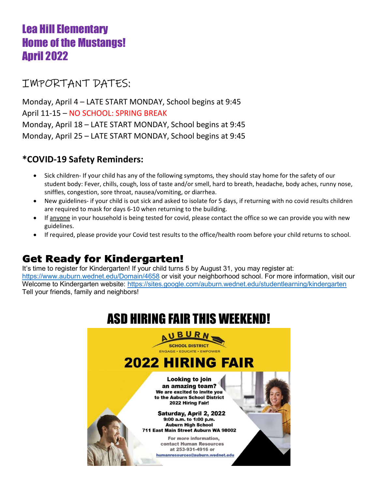# Lea Hill Elementary Home of the Mustangs! April 2022

# IMPORTANT DATES:

Monday, April 4 – LATE START MONDAY, School begins at 9:45 April 11-15 – NO SCHOOL: SPRING BREAK Monday, April 18 – LATE START MONDAY, School begins at 9:45 Monday, April 25 – LATE START MONDAY, School begins at 9:45

## \*COVID-19 Safety Reminders:

- Sick children- If your child has any of the following symptoms, they should stay home for the safety of our student body: Fever, chills, cough, loss of taste and/or smell, hard to breath, headache, body aches, runny nose, sniffles, congestion, sore throat, nausea/vomiting, or diarrhea.
- New guidelines- if your child is out sick and asked to isolate for 5 days, if returning with no covid results children are required to mask for days 6-10 when returning to the building.
- If anyone in your household is being tested for covid, please contact the office so we can provide you with new guidelines.
- If required, please provide your Covid test results to the office/health room before your child returns to school.

# Get Ready for Kindergarten!

It's time to register for Kindergarten! If your child turns 5 by August 31, you may register at: https://www.auburn.wednet.edu/Domain/4658 or visit your neighborhood school. For more information, visit our Welcome to Kindergarten website: https://sites.google.com/auburn.wednet.edu/studentlearning/kindergarten Tell your friends, family and neighbors!